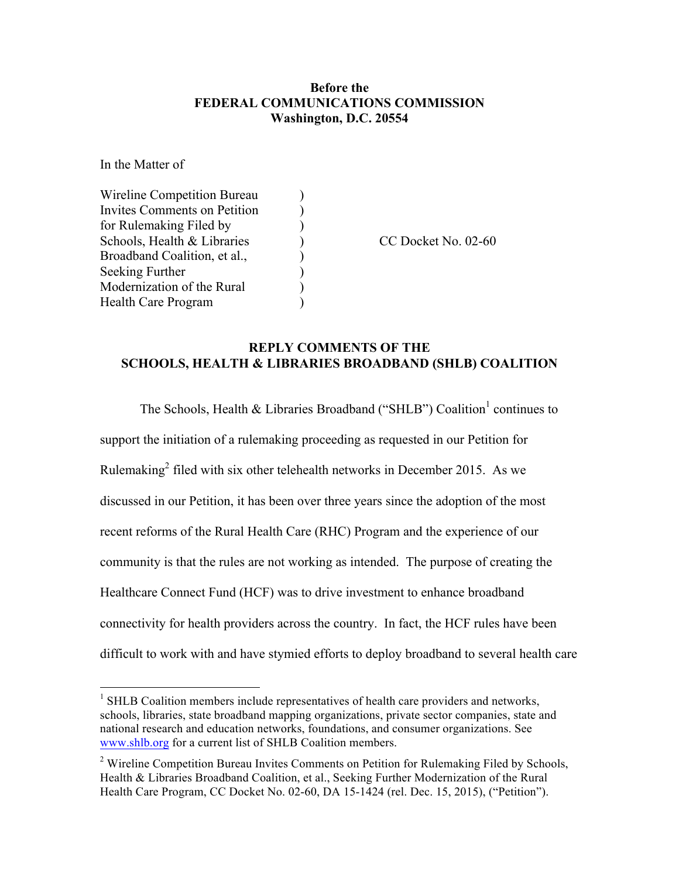## **Before the FEDERAL COMMUNICATIONS COMMISSION Washington, D.C. 20554**

In the Matter of

| Wireline Competition Bureau  |  |
|------------------------------|--|
| Invites Comments on Petition |  |
| for Rulemaking Filed by      |  |
| Schools, Health & Libraries  |  |
| Broadband Coalition, et al., |  |
| Seeking Further              |  |
| Modernization of the Rural   |  |
| Health Care Program          |  |

Schools, Health & Libraries (CC Docket No. 02-60)

## **REPLY COMMENTS OF THE SCHOOLS, HEALTH & LIBRARIES BROADBAND (SHLB) COALITION**

The Schools, Health & Libraries Broadband ("SHLB") Coalition<sup>1</sup> continues to support the initiation of a rulemaking proceeding as requested in our Petition for Rulemaking<sup>2</sup> filed with six other telehealth networks in December 2015. As we discussed in our Petition, it has been over three years since the adoption of the most recent reforms of the Rural Health Care (RHC) Program and the experience of our community is that the rules are not working as intended. The purpose of creating the Healthcare Connect Fund (HCF) was to drive investment to enhance broadband connectivity for health providers across the country. In fact, the HCF rules have been difficult to work with and have stymied efforts to deploy broadband to several health care

 $<sup>1</sup>$  SHLB Coalition members include representatives of health care providers and networks,</sup> schools, libraries, state broadband mapping organizations, private sector companies, state and national research and education networks, foundations, and consumer organizations. See www.shlb.org for a current list of SHLB Coalition members.

<sup>&</sup>lt;sup>2</sup> Wireline Competition Bureau Invites Comments on Petition for Rulemaking Filed by Schools, Health & Libraries Broadband Coalition, et al., Seeking Further Modernization of the Rural Health Care Program, CC Docket No. 02-60, DA 15-1424 (rel. Dec. 15, 2015), ("Petition").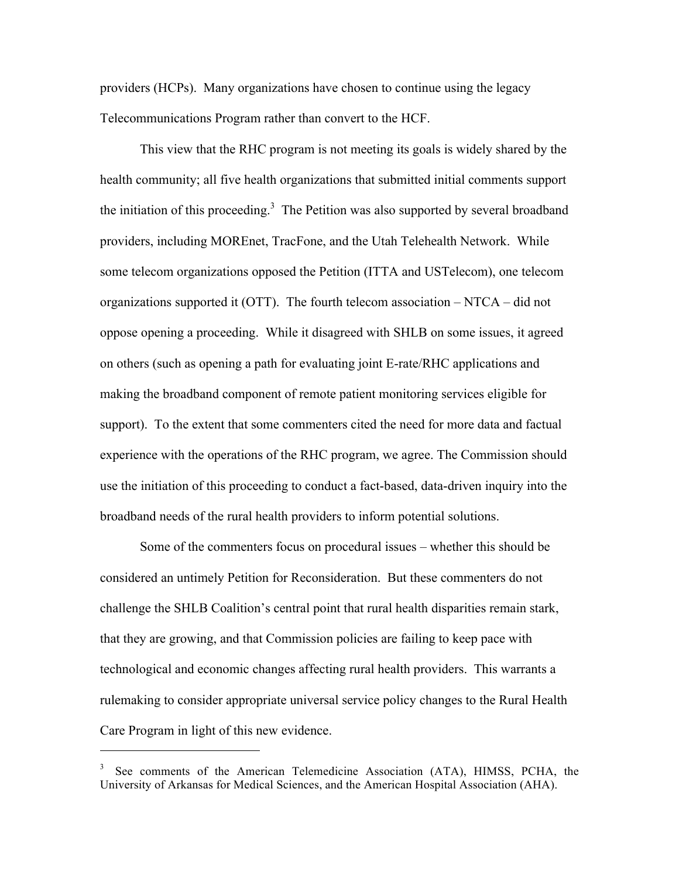providers (HCPs). Many organizations have chosen to continue using the legacy Telecommunications Program rather than convert to the HCF.

This view that the RHC program is not meeting its goals is widely shared by the health community; all five health organizations that submitted initial comments support the initiation of this proceeding.<sup>3</sup> The Petition was also supported by several broadband providers, including MOREnet, TracFone, and the Utah Telehealth Network. While some telecom organizations opposed the Petition (ITTA and USTelecom), one telecom organizations supported it (OTT). The fourth telecom association  $- N T C A - \text{did not}$ oppose opening a proceeding. While it disagreed with SHLB on some issues, it agreed on others (such as opening a path for evaluating joint E-rate/RHC applications and making the broadband component of remote patient monitoring services eligible for support). To the extent that some commenters cited the need for more data and factual experience with the operations of the RHC program, we agree. The Commission should use the initiation of this proceeding to conduct a fact-based, data-driven inquiry into the broadband needs of the rural health providers to inform potential solutions.

Some of the commenters focus on procedural issues – whether this should be considered an untimely Petition for Reconsideration. But these commenters do not challenge the SHLB Coalition's central point that rural health disparities remain stark, that they are growing, and that Commission policies are failing to keep pace with technological and economic changes affecting rural health providers. This warrants a rulemaking to consider appropriate universal service policy changes to the Rural Health Care Program in light of this new evidence.

 $\overline{a}$ 

<sup>3</sup> See comments of the American Telemedicine Association (ATA), HIMSS, PCHA, the University of Arkansas for Medical Sciences, and the American Hospital Association (AHA).